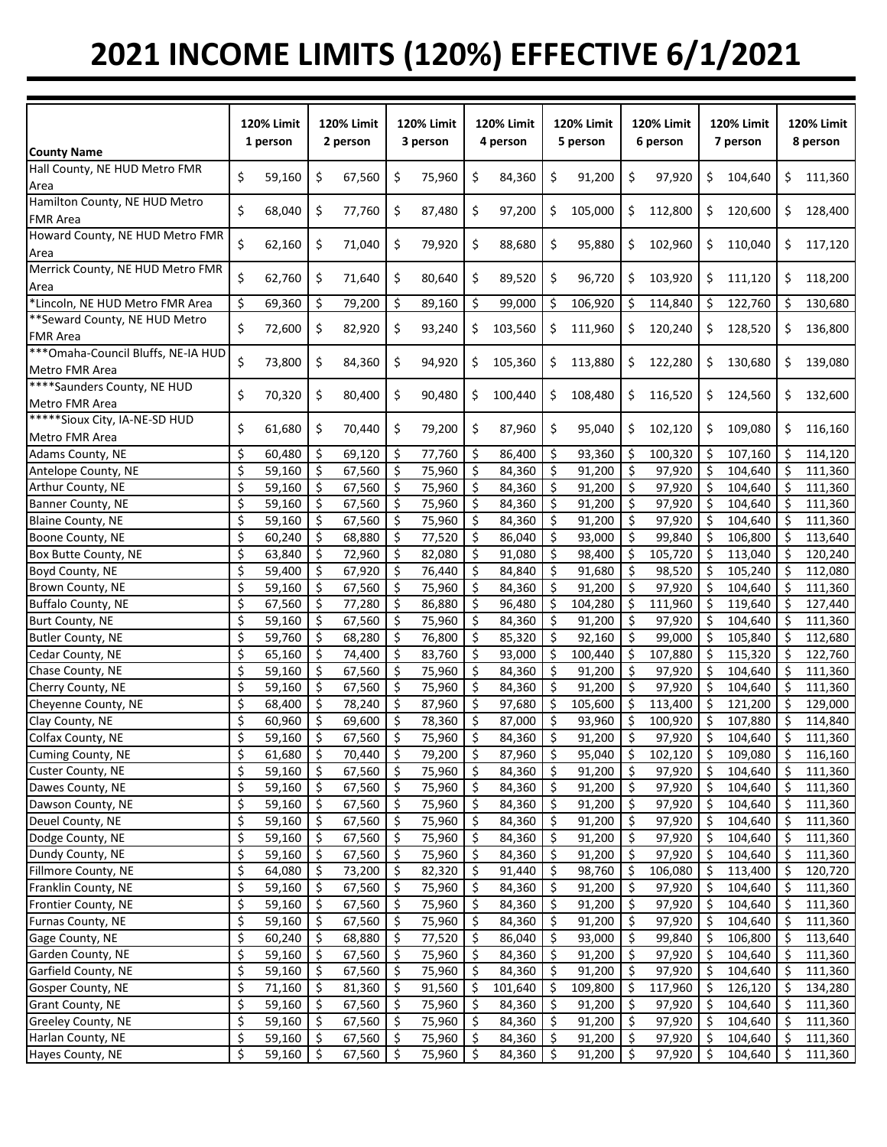## **2021 INCOME LIMITS (120%) EFFECTIVE 6/1/2021**

|                                               | <b>120% Limit</b><br>1 person |        | <b>120% Limit</b><br>2 person |        | <b>120% Limit</b><br>3 person |        | 120% Limit<br>4 person |         | <b>120% Limit</b><br>5 person |         | <b>120% Limit</b><br>6 person |         | <b>120% Limit</b><br>7 person |         | <b>120% Limit</b><br>8 person |         |
|-----------------------------------------------|-------------------------------|--------|-------------------------------|--------|-------------------------------|--------|------------------------|---------|-------------------------------|---------|-------------------------------|---------|-------------------------------|---------|-------------------------------|---------|
| <b>County Name</b>                            |                               |        |                               |        |                               |        |                        |         |                               |         |                               |         |                               |         |                               |         |
| Hall County, NE HUD Metro FMR                 | \$                            | 59,160 | \$                            | 67,560 | \$                            | 75,960 | \$                     | 84,360  | \$                            | 91,200  | \$                            | 97,920  | \$                            | 104,640 | \$                            | 111,360 |
| Area                                          |                               |        |                               |        |                               |        |                        |         |                               |         |                               |         |                               |         |                               |         |
| Hamilton County, NE HUD Metro                 | \$                            | 68,040 | \$                            | 77,760 | \$                            | 87,480 | \$                     | 97,200  | \$                            | 105,000 | \$                            | 112,800 | \$                            | 120,600 | \$                            | 128,400 |
| <b>FMR Area</b>                               |                               |        |                               |        |                               |        |                        |         |                               |         |                               |         |                               |         |                               |         |
| Howard County, NE HUD Metro FMR               | \$                            | 62,160 | \$                            | 71,040 | \$                            | 79,920 | \$                     | 88,680  | \$                            | 95,880  | \$                            | 102,960 | \$                            | 110,040 | \$                            | 117,120 |
| Area                                          |                               |        |                               |        |                               |        |                        |         |                               |         |                               |         |                               |         |                               |         |
| Merrick County, NE HUD Metro FMR              | \$                            | 62,760 | \$                            | 71,640 | \$                            | 80,640 | \$                     | 89,520  | \$                            | 96,720  | \$                            | 103,920 | \$                            | 111,120 | \$                            | 118,200 |
| Area                                          |                               |        |                               |        |                               |        |                        |         |                               |         |                               |         |                               |         |                               |         |
| *Lincoln, NE HUD Metro FMR Area               | \$                            | 69,360 | \$                            | 79,200 | \$                            | 89,160 | \$                     | 99,000  | \$                            | 106,920 | \$                            | 114,840 | \$                            | 122,760 | \$                            | 130,680 |
| ** Seward County, NE HUD Metro                |                               |        |                               |        |                               |        |                        |         |                               |         |                               |         |                               |         |                               |         |
| <b>FMR Area</b>                               | \$                            | 72,600 | \$                            | 82,920 | \$                            | 93,240 | \$                     | 103,560 | \$                            | 111,960 | \$                            | 120,240 | \$                            | 128,520 | \$                            | 136,800 |
| *** Omaha-Council Bluffs, NE-IA HUD           |                               |        |                               |        |                               |        |                        |         |                               |         |                               |         |                               |         |                               |         |
| Metro FMR Area                                | \$                            | 73,800 | \$                            | 84,360 | \$                            | 94,920 | \$                     | 105,360 | \$                            | 113,880 | \$                            | 122,280 | \$                            | 130,680 | \$                            | 139,080 |
| ****Saunders County, NE HUD                   |                               |        |                               |        |                               |        |                        |         |                               |         |                               |         |                               |         |                               |         |
| Metro FMR Area                                | \$                            | 70,320 | \$                            | 80,400 | \$                            | 90,480 | \$                     | 100,440 | \$                            | 108,480 | \$                            | 116,520 | \$                            | 124,560 | \$                            | 132,600 |
| *****Sioux City, IA-NE-SD HUD                 |                               |        |                               |        |                               |        |                        |         |                               |         |                               |         |                               |         |                               |         |
| Metro FMR Area                                | \$                            | 61,680 | \$                            | 70,440 | \$                            | 79,200 | \$                     | 87,960  | \$                            | 95,040  | \$                            | 102,120 | \$                            | 109,080 | \$                            | 116,160 |
| Adams County, NE                              | \$                            | 60,480 | \$                            | 69,120 | \$                            | 77,760 | \$                     | 86,400  | \$                            | 93,360  | \$                            | 100,320 | \$                            | 107,160 | \$.                           | 114,120 |
| Antelope County, NE                           | \$                            | 59,160 | \$                            | 67,560 | \$                            | 75,960 | \$                     | 84,360  | \$                            | 91,200  | \$                            | 97,920  | $\ddot{\varsigma}$            | 104,640 | \$                            | 111,360 |
|                                               | \$                            | 59,160 | Ŝ.                            | 67,560 | \$                            | 75,960 | -\$                    | 84,360  | \$                            | 91,200  | \$                            | 97,920  | \$                            | 104,640 | \$                            | 111,360 |
| Arthur County, NE<br><b>Banner County, NE</b> |                               |        |                               |        |                               |        |                        |         |                               |         |                               |         |                               |         |                               |         |
|                                               | \$                            | 59,160 | \$                            | 67,560 | \$                            | 75,960 | \$                     | 84,360  | \$                            | 91,200  | $\zeta$                       | 97,920  | $\ddot{\varsigma}$            | 104,640 | \$                            | 111,360 |
| <b>Blaine County, NE</b>                      | \$                            | 59,160 | \$                            | 67,560 | \$                            | 75,960 | -\$                    | 84,360  | Ŝ.                            | 91,200  | $\ddot{\mathsf{S}}$           | 97,920  | \$                            | 104,640 | Ŝ.                            | 111,360 |
| Boone County, NE                              | \$                            | 60,240 | \$                            | 68,880 | \$                            | 77,520 | \$                     | 86,040  | \$                            | 93,000  | -\$                           | 99,840  | -\$                           | 106,800 | Ŝ.                            | 113,640 |
| Box Butte County, NE                          | \$                            | 63,840 | \$                            | 72,960 | \$                            | 82,080 | -\$                    | 91,080  | \$                            | 98,400  | \$                            | 105,720 | \$                            | 113,040 | Ŝ.                            | 120,240 |
| Boyd County, NE                               | \$                            | 59,400 | \$                            | 67,920 | \$                            | 76,440 | -\$                    | 84,840  | \$                            | 91,680  | S.                            | 98,520  | Ś.                            | 105,240 | Ŝ.                            | 112,080 |
| Brown County, NE                              | \$                            | 59,160 | \$                            | 67,560 | \$                            | 75,960 | \$                     | 84,360  | \$                            | 91,200  | \$                            | 97,920  | \$                            | 104,640 | Ś                             | 111,360 |
| Buffalo County, NE                            | \$                            | 67,560 | \$                            | 77,280 | \$                            | 86,880 | \$                     | 96,480  | \$                            | 104,280 | \$                            | 111,960 | \$                            | 119,640 | \$                            | 127,440 |
| Burt County, NE                               | \$                            | 59,160 | \$                            | 67,560 | \$                            | 75,960 | \$                     | 84,360  | \$                            | 91,200  | \$                            | 97,920  | \$                            | 104,640 | \$                            | 111,360 |
| Butler County, NE                             | \$                            | 59,760 | \$                            | 68,280 | \$                            | 76,800 | \$                     | 85,320  | \$                            | 92,160  | \$                            | 99,000  | \$                            | 105,840 | Ś                             | 112,680 |
| Cedar County, NE                              | \$                            | 65,160 | \$                            | 74,400 | \$                            | 83,760 | \$                     | 93,000  | \$                            | 100,440 | \$                            | 107,880 | \$                            | 115,320 | \$                            | 122,760 |
| Chase County, NE                              | \$                            | 59,160 | \$                            | 67,560 | \$                            | 75,960 | \$                     | 84,360  | \$                            | 91,200  | S.                            | 97,920  | \$                            | 104,640 | \$                            | 111,360 |
| Cherry County, NE                             | \$                            | 59,160 | \$                            | 67,560 | \$                            | 75,960 | -\$                    | 84,360  | \$                            | 91,200  | \$                            | 97,920  | \$                            | 104,640 | \$                            | 111,360 |
| Cheyenne County, NE                           | \$                            | 68,400 | \$                            | 78,240 | \$                            | 87,960 | S.                     | 97,680  | \$                            | 105,600 | \$                            | 113,400 | \$                            | 121,200 | \$                            | 129,000 |
| Clay County, NE                               | \$                            | 60,960 | \$                            | 69,600 | \$                            | 78,360 | \$                     | 87,000  | $\zeta$                       | 93,960  | \$                            | 100,920 | \$                            | 107,880 | Ś                             | 114,840 |
| Colfax County, NE                             | \$                            | 59,160 | \$                            | 67,560 | \$                            | 75,960 | -\$                    | 84,360  | \$                            | 91,200  | \$                            | 97,920  | \$                            | 104,640 | \$                            | 111,360 |
|                                               |                               |        |                               |        |                               |        |                        |         |                               |         |                               |         |                               |         |                               |         |
| Cuming County, NE                             | \$                            | 61,680 | -\$                           | 70,440 | \$                            | 79,200 | \$                     | 87,960  | \$                            | 95,040  | -\$                           | 102,120 | \$                            | 109,080 | -\$                           | 116,160 |
| Custer County, NE                             | \$                            | 59,160 | S.                            | 67,560 | \$                            | 75,960 | -\$                    | 84,360  | \$                            | 91,200  | \$                            | 97,920  | -\$                           | 104,640 | -\$                           | 111,360 |
| Dawes County, NE                              | \$                            | 59,160 | S.                            | 67,560 | \$                            | 75,960 | -\$                    | 84,360  | \$                            | 91,200  | $\zeta$                       | 97,920  | -\$                           | 104,640 | \$.                           | 111,360 |
| Dawson County, NE                             | \$                            | 59,160 | \$                            | 67,560 | \$                            | 75,960 | -\$                    | 84,360  | \$.                           | 91,200  | \$                            | 97,920  | \$                            | 104,640 | \$                            | 111,360 |
| Deuel County, NE                              | \$                            | 59,160 | \$                            | 67,560 | \$                            | 75,960 | -\$                    | 84,360  | \$                            | 91,200  | \$                            | 97,920  | \$                            | 104,640 | \$                            | 111,360 |
| Dodge County, NE                              | \$                            | 59,160 | \$                            | 67,560 | \$                            | 75,960 | \$                     | 84,360  | \$                            | 91,200  | \$                            | 97,920  | \$                            | 104,640 | \$                            | 111,360 |
| Dundy County, NE                              | \$                            | 59,160 | \$                            | 67,560 | \$                            | 75,960 | \$                     | 84,360  | \$                            | 91,200  | \$                            | 97,920  | -\$                           | 104,640 | -\$                           | 111,360 |
| Fillmore County, NE                           | \$                            | 64,080 | \$                            | 73,200 | \$                            | 82,320 | \$                     | 91,440  | \$                            | 98,760  | \$                            | 106,080 | \$                            | 113,400 | -\$                           | 120,720 |
| Franklin County, NE                           | \$                            | 59,160 | \$                            | 67,560 | \$                            | 75,960 | -\$                    | 84,360  | \$                            | 91,200  | \$                            | 97,920  | \$                            | 104,640 | \$.                           | 111,360 |
| Frontier County, NE                           | \$                            | 59,160 | \$                            | 67,560 | \$.                           | 75,960 | -\$                    | 84,360  | \$                            | 91,200  | -\$                           | 97,920  | \$                            | 104,640 | \$.                           | 111,360 |
| Furnas County, NE                             | \$                            | 59,160 | \$                            | 67,560 | \$                            | 75,960 | -\$                    | 84,360  | \$                            | 91,200  | \$                            | 97,920  | \$                            | 104,640 | \$                            | 111,360 |
| Gage County, NE                               | \$                            | 60,240 | \$                            | 68,880 | \$                            | 77,520 | -\$                    | 86,040  | \$                            | 93,000  | $\ddot{\varsigma}$            | 99,840  | \$                            | 106,800 | -\$                           | 113,640 |
| Garden County, NE                             | \$                            | 59,160 | $\zeta$                       | 67,560 | \$                            | 75,960 | $\ddot{\mathsf{S}}$    | 84,360  | \$                            | 91,200  | $\ddot{\mathsf{S}}$           | 97,920  | -\$                           | 104,640 | -\$                           | 111,360 |
| Garfield County, NE                           | \$                            | 59,160 | \$                            | 67,560 | \$                            | 75,960 | \$                     | 84,360  | \$                            | 91,200  | $\ddot{\mathsf{S}}$           | 97,920  | -\$                           | 104,640 | \$                            | 111,360 |
| Gosper County, NE                             | \$                            | 71,160 | \$                            | 81,360 | \$                            | 91,560 | $\ddot{\varsigma}$     | 101,640 | \$                            | 109,800 | \$                            | 117,960 | -\$                           | 126,120 | -\$                           | 134,280 |
| Grant County, NE                              | \$                            | 59,160 | \$                            | 67,560 | \$                            | 75,960 | -\$                    | 84,360  | Ŝ.                            | 91,200  | \$                            | 97,920  | \$                            | 104,640 | \$                            | 111,360 |
| Greeley County, NE                            | \$                            | 59,160 | Ŝ.                            | 67,560 | \$                            | 75,960 | -\$                    | 84,360  |                               | 91,200  | \$                            | 97,920  | \$                            | 104,640 | \$                            | 111,360 |
|                                               |                               |        |                               |        |                               |        |                        |         | \$.                           |         |                               |         |                               |         |                               |         |
| Harlan County, NE                             | \$                            | 59,160 | \$                            | 67,560 | \$                            | 75,960 | \$                     | 84,360  | \$                            | 91,200  | \$                            | 97,920  | \$                            | 104,640 | \$                            | 111,360 |
| Hayes County, NE                              | \$                            | 59,160 | \$                            | 67,560 | \$                            | 75,960 | -\$                    | 84,360  | \$                            | 91,200  | \$                            | 97,920  | -\$                           | 104,640 | \$.                           | 111,360 |